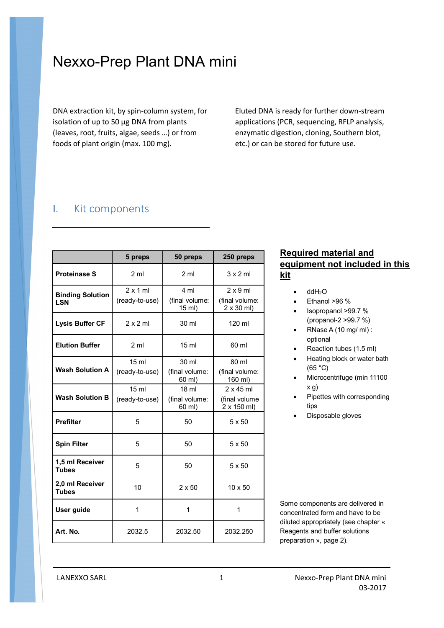# Nexxo-Prep Plant DNA mini

DNA extraction kit, by spin-column system, for isolation of up to 50 µg DNA from plants (leaves, root, fruits, algae, seeds …) or from foods of plant origin (max. 100 mg).

Eluted DNA is ready for further down-stream applications (PCR, sequencing, RFLP analysis, enzymatic digestion, cloning, Southern blot, etc.) or can be stored for future use.

## I. Kit components

|                                       | 5 preps                            | 50 preps                                    | 250 preps                                               |
|---------------------------------------|------------------------------------|---------------------------------------------|---------------------------------------------------------|
| <b>Proteinase S</b>                   | 2 <sub>m</sub>                     | 2 <sub>m</sub>                              | $3 \times 2$ ml                                         |
| <b>Binding Solution</b><br><b>LSN</b> | $2 \times 1$ ml<br>(ready-to-use)  | 4 ml<br>(final volume:<br>15 ml)            | $2 \times 9$ ml<br>(final volume:<br>$2 \times 30$ ml)  |
| <b>Lysis Buffer CF</b>                | $2 \times 2$ ml                    | 30 ml                                       | 120 ml                                                  |
| <b>Elution Buffer</b>                 | 2 <sub>m</sub>                     | 15 <sub>ml</sub>                            | 60 ml                                                   |
| <b>Wash Solution A</b>                | 15 <sub>ml</sub><br>(ready-to-use) | 30 ml<br>(final volume:<br>60 ml)           | 80 ml<br>(final volume:<br>160 ml)                      |
| <b>Wash Solution B</b>                | 15 <sub>ml</sub><br>(ready-to-use) | 18 <sub>m</sub><br>(final volume:<br>60 ml) | $2 \times 45$ ml<br>(final volume<br>$2 \times 150$ ml) |
| <b>Prefilter</b>                      | 5                                  | 50                                          | 5 x 50                                                  |
| <b>Spin Filter</b>                    | 5                                  | 50                                          | $5 \times 50$                                           |
| 1,5 ml Receiver<br><b>Tubes</b>       | 5                                  | 50                                          | $5 \times 50$                                           |
| 2,0 ml Receiver<br><b>Tubes</b>       | 10                                 | $2 \times 50$                               | $10 \times 50$                                          |
| User guide                            | 1                                  | 1                                           | 1                                                       |
| Art. No.                              | 2032.5                             | 2032.50                                     | 2032.250                                                |

### **Required material and equipment not included in this kit**

- $\bullet$  ddH<sub>2</sub>O
- Ethanol >96 %
- Isopropanol >99.7 % (propanol-2 >99.7 %)
- RNase A  $(10 \text{ mg/m})$ : optional
- Reaction tubes (1.5 ml)
- Heating block or water bath (65 °C)
- Microcentrifuge (min 11100 x g)
- Pipettes with corresponding tips
- Disposable gloves

Some components are delivered in concentrated form and have to be diluted appropriately (see chapter « Reagents and buffer solutions preparation », page 2).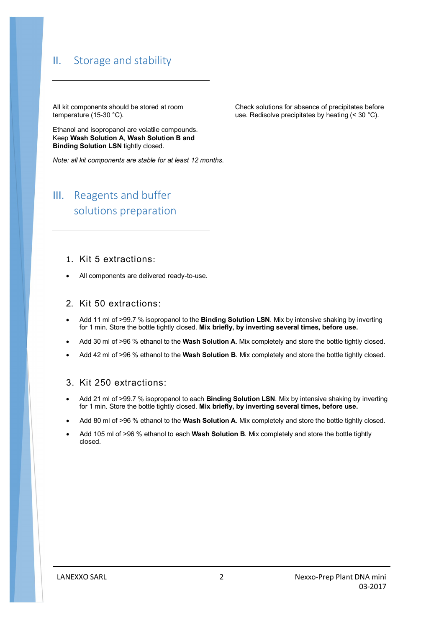## II. Storage and stability

All kit components should be stored at room temperature (15-30 °C).

Ethanol and isopropanol are volatile compounds. Keep **Wash Solution A**, **Wash Solution B and Binding Solution LSN** tightly closed.

*Note: all kit components are stable for at least 12 months.*

## III. Reagents and buffer solutions preparation

#### 1. Kit 5 extractions:

All components are delivered ready-to-use.

#### 2. Kit 50 extractions:

- Add 11 ml of >99.7 % isopropanol to the **Binding Solution LSN**. Mix by intensive shaking by inverting for 1 min. Store the bottle tightly closed. **Mix briefly, by inverting several times, before use.**
- Add 30 ml of >96 % ethanol to the **Wash Solution A**. Mix completely and store the bottle tightly closed.
- Add 42 ml of >96 % ethanol to the **Wash Solution B**. Mix completely and store the bottle tightly closed.

#### 3. Kit 250 extractions:

- Add 21 ml of >99.7 % isopropanol to each **Binding Solution LSN**. Mix by intensive shaking by inverting for 1 min. Store the bottle tightly closed. **Mix briefly, by inverting several times, before use.**
- Add 80 ml of >96 % ethanol to the **Wash Solution A**. Mix completely and store the bottle tightly closed.
- Add 105 ml of >96 % ethanol to each **Wash Solution B**. Mix completely and store the bottle tightly closed.

Check solutions for absence of precipitates before use. Redisolve precipitates by heating (< 30 °C).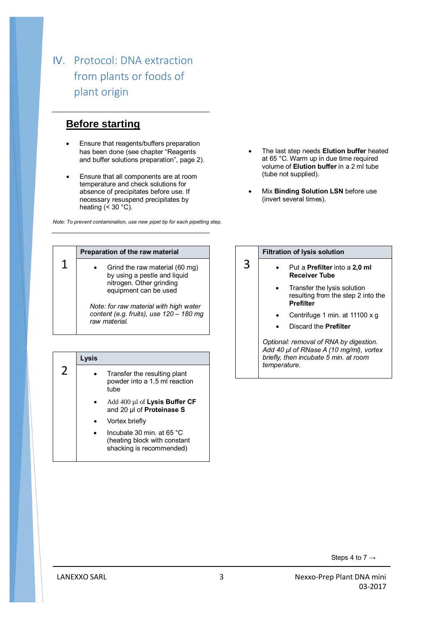## IV. Protocol: DNA extraction from plants or foods of plant origin

## **Before starting**

- Ensure that reagents/buffers preparation has been done (see chapter "Reagents and buffer solutions preparation", page 2).
- Ensure that all components are at room temperature and check solutions for absence of precipitates before use. If necessary resuspend precipitates by heating  $( $30$  °C)$ .

*Note: To prevent contamination, use new pipet tip for each pipetting step.*

- The last step needs **Elution buffer** heated at 65 °C. Warm up in due time required volume of **Elution buffer** in a 2 ml tube (tube not supplied).
- Mix **Binding Solution LSN** before use (invert several times).

| Preparation of the raw material                                                                                     |
|---------------------------------------------------------------------------------------------------------------------|
| Grind the raw material (60 mg)<br>by using a pestle and liquid<br>nitrogen. Other grinding<br>equipment can be used |
| Note: for raw material with high water<br>content (e.g. fruits), use 120 - 180 mg<br>raw material.                  |

|          | Lysis |                                                                                       |
|----------|-------|---------------------------------------------------------------------------------------|
| $\prime$ |       | Transfer the resulting plant<br>powder into a 1.5 ml reaction<br>tube                 |
|          |       | Add 400 $\mu$ l of Lysis Buffer CF<br>and 20 µl of Proteinase S                       |
|          |       | Vortex briefly                                                                        |
|          |       | Incubate 30 min. at 65 °C<br>(heating block with constant<br>shacking is recommended) |

#### **Filtration of lysis solution**

3

- Put a **Prefilter** into a **2,0 ml Receiver Tube**
	- Transfer the lysis solution resulting from the step 2 into the **Prefilter**
	- Centrifuge 1 min. at 11100 x g
	- Discard the **Prefilter**

*Optional: removal of RNA by digestion. Add 40 µl of RNase A (10 mg/ml), vortex briefly, then incubate 5 min. at room temperature.*

Steps 4 to 7  $\rightarrow$